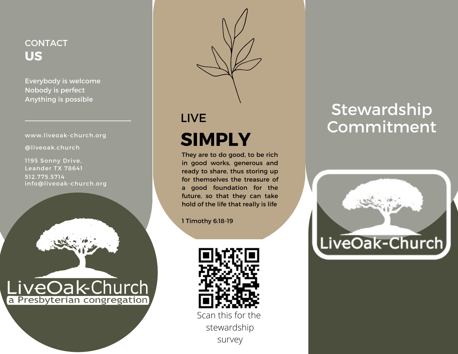## **CONTACT US**

Everybody is welcome Nobody is perfect Anything is possible

#### www.liveoak-church.org

@liveoak.church

1195 Sonny Drive, Leander TX 78641 512.775.5714 info@liveoak-church.org





# LIVE **SIMPLY**

They are to do good, to be rich in good works, generous and ready to share, thus storing up for themselves the treasure of a good foundation for the future, so that they can take hold of the life that really is life

1 Timothy 6:18-19



survey

# Stewardship Commitment